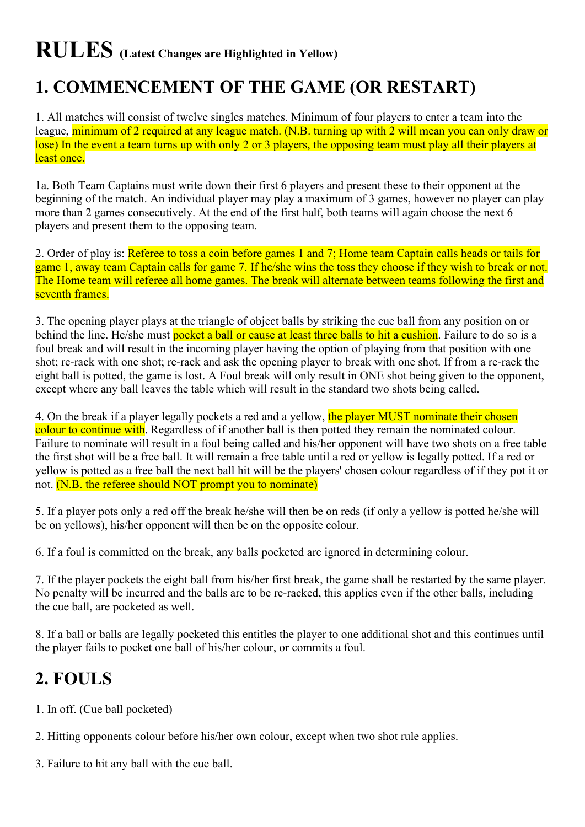# **RULES (Latest Changes are Highlighted in Yellow)**

#### **1. COMMENCEMENT OF THE GAME (OR RESTART)**

1. All matches will consist of twelve singles matches. Minimum of four players to enter a team into the league, minimum of 2 required at any league match. (N.B. turning up with 2 will mean you can only draw or lose) In the event a team turns up with only 2 or 3 players, the opposing team must play all their players at least once.

1a. Both Team Captains must write down their first 6 players and present these to their opponent at the beginning of the match. An individual player may play a maximum of 3 games, however no player can play more than 2 games consecutively. At the end of the first half, both teams will again choose the next 6 players and present them to the opposing team.

2. Order of play is: Referee to toss a coin before games 1 and 7; Home team Captain calls heads or tails for game 1, away team Captain calls for game 7. If he/she wins the toss they choose if they wish to break or not. The Home team will referee all home games. The break will alternate between teams following the first and seventh frames.

3. The opening player plays at the triangle of object balls by striking the cue ball from any position on or behind the line. He/she must pocket a ball or cause at least three balls to hit a cushion. Failure to do so is a foul break and will result in the incoming player having the option of playing from that position with one shot; re-rack with one shot; re-rack and ask the opening player to break with one shot. If from a re-rack the eight ball is potted, the game is lost. A Foul break will only result in ONE shot being given to the opponent, except where any ball leaves the table which will result in the standard two shots being called.

4. On the break if a player legally pockets a red and a yellow, the player MUST nominate their chosen colour to continue with. Regardless of if another ball is then potted they remain the nominated colour. Failure to nominate will result in a foul being called and his/her opponent will have two shots on a free table the first shot will be a free ball. It will remain a free table until a red or yellow is legally potted. If a red or yellow is potted as a free ball the next ball hit will be the players' chosen colour regardless of if they pot it or not. (N.B. the referee should NOT prompt you to nominate)

5. If a player pots only a red off the break he/she will then be on reds (if only a yellow is potted he/she will be on yellows), his/her opponent will then be on the opposite colour.

6. If a foul is committed on the break, any balls pocketed are ignored in determining colour.

7. If the player pockets the eight ball from his/her first break, the game shall be restarted by the same player. No penalty will be incurred and the balls are to be re-racked, this applies even if the other balls, including the cue ball, are pocketed as well.

8. If a ball or balls are legally pocketed this entitles the player to one additional shot and this continues until the player fails to pocket one ball of his/her colour, or commits a foul.

#### **2. FOULS**

1. In off. (Cue ball pocketed)

- 2. Hitting opponents colour before his/her own colour, except when two shot rule applies.
- 3. Failure to hit any ball with the cue ball.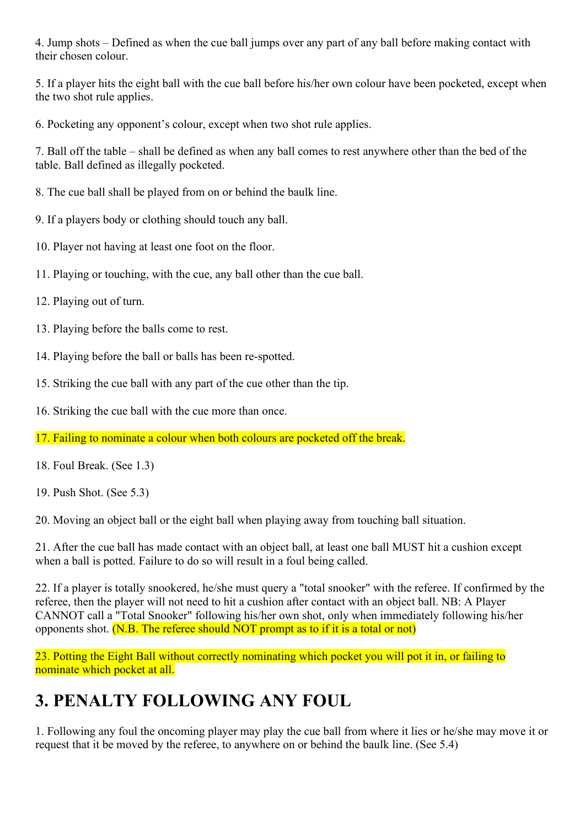4. Jump shots – Defined as when the cue ball jumps over any part of any ball before making contact with their chosen colour.

5. If a player hits the eight ball with the cue ball before his/her own colour have been pocketed, except when the two shot rule applies.

6. Pocketing any opponent's colour, except when two shot rule applies.

7. Ball off the table – shall be defined as when any ball comes to rest anywhere other than the bed of the table. Ball defined as illegally pocketed.

- 8. The cue ball shall be played from on or behind the baulk line.
- 9. If a players body or clothing should touch any ball.
- 10. Player not having at least one foot on the floor.
- 11. Playing or touching, with the cue, any ball other than the cue ball.
- 12. Playing out of turn.
- 13. Playing before the balls come to rest.
- 14. Playing before the ball or balls has been re-spotted.
- 15. Striking the cue ball with any part of the cue other than the tip.
- 16. Striking the cue ball with the cue more than once.
- 17. Failing to nominate a colour when both colours are pocketed off the break.
- 18. Foul Break. (See 1.3)
- 19. Push Shot. (See 5.3)

20. Moving an object ball or the eight ball when playing away from touching ball situation.

21. After the cue ball has made contact with an object ball, at least one ball MUST hit a cushion except when a ball is potted. Failure to do so will result in a foul being called.

22. If a player is totally snookered, he/she must query a "total snooker" with the referee. If confirmed by the referee, then the player will not need to hit a cushion after contact with an object ball. NB: A Player CANNOT call a "Total Snooker" following his/her own shot, only when immediately following his/her opponents shot. (N.B. The referee should NOT prompt as to if it is a total or not)

23. Potting the Eight Ball without correctly nominating which pocket you will pot it in, or failing to nominate which pocket at all.

## **3. PENALTY FOLLOWING ANY FOUL**

1. Following any foul the oncoming player may play the cue ball from where it lies or he/she may move it or request that it be moved by the referee, to anywhere on or behind the baulk line. (See 5.4)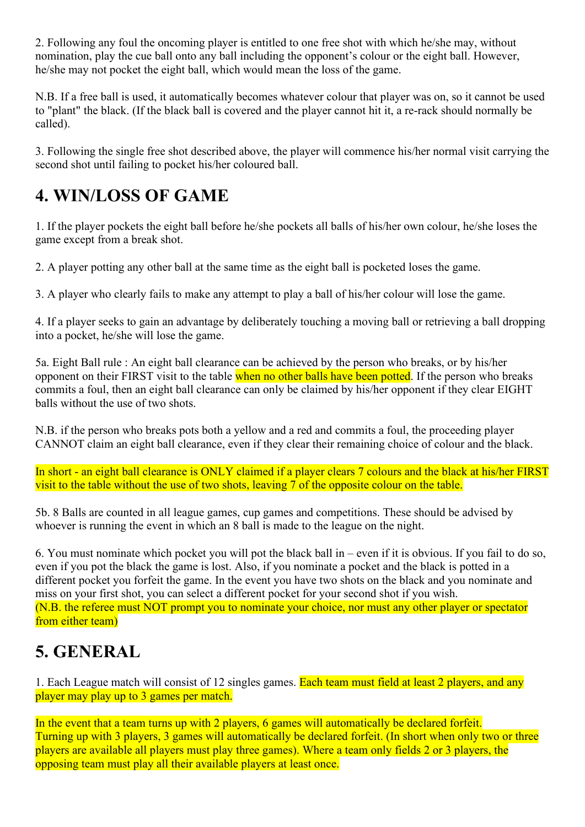2. Following any foul the oncoming player is entitled to one free shot with which he/she may, without nomination, play the cue ball onto any ball including the opponent's colour or the eight ball. However, he/she may not pocket the eight ball, which would mean the loss of the game.

N.B. If a free ball is used, it automatically becomes whatever colour that player was on, so it cannot be used to "plant" the black. (If the black ball is covered and the player cannot hit it, a re-rack should normally be called).

3. Following the single free shot described above, the player will commence his/her normal visit carrying the second shot until failing to pocket his/her coloured ball.

#### **4. WIN/LOSS OF GAME**

1. If the player pockets the eight ball before he/she pockets all balls of his/her own colour, he/she loses the game except from a break shot.

2. A player potting any other ball at the same time as the eight ball is pocketed loses the game.

3. A player who clearly fails to make any attempt to play a ball of his/her colour will lose the game.

4. If a player seeks to gain an advantage by deliberately touching a moving ball or retrieving a ball dropping into a pocket, he/she will lose the game.

5a. Eight Ball rule : An eight ball clearance can be achieved by the person who breaks, or by his/her opponent on their FIRST visit to the table when no other balls have been potted. If the person who breaks commits a foul, then an eight ball clearance can only be claimed by his/her opponent if they clear EIGHT balls without the use of two shots.

N.B. if the person who breaks pots both a yellow and a red and commits a foul, the proceeding player CANNOT claim an eight ball clearance, even if they clear their remaining choice of colour and the black.

In short - an eight ball clearance is ONLY claimed if a player clears 7 colours and the black at his/her FIRST visit to the table without the use of two shots, leaving 7 of the opposite colour on the table.

5b. 8 Balls are counted in all league games, cup games and competitions. These should be advised by whoever is running the event in which an 8 ball is made to the league on the night.

6. You must nominate which pocket you will pot the black ball in – even if it is obvious. If you fail to do so, even if you pot the black the game is lost. Also, if you nominate a pocket and the black is potted in a different pocket you forfeit the game. In the event you have two shots on the black and you nominate and miss on your first shot, you can select a different pocket for your second shot if you wish. (N.B. the referee must NOT prompt you to nominate your choice, nor must any other player or spectator from either team)

## **5. GENERAL**

1. Each League match will consist of 12 singles games. Each team must field at least 2 players, and any player may play up to 3 games per match.

In the event that a team turns up with 2 players, 6 games will automatically be declared forfeit. Turning up with 3 players, 3 games will automatically be declared forfeit. (In short when only two or three players are available all players must play three games). Where a team only fields 2 or 3 players, the opposing team must play all their available players at least once.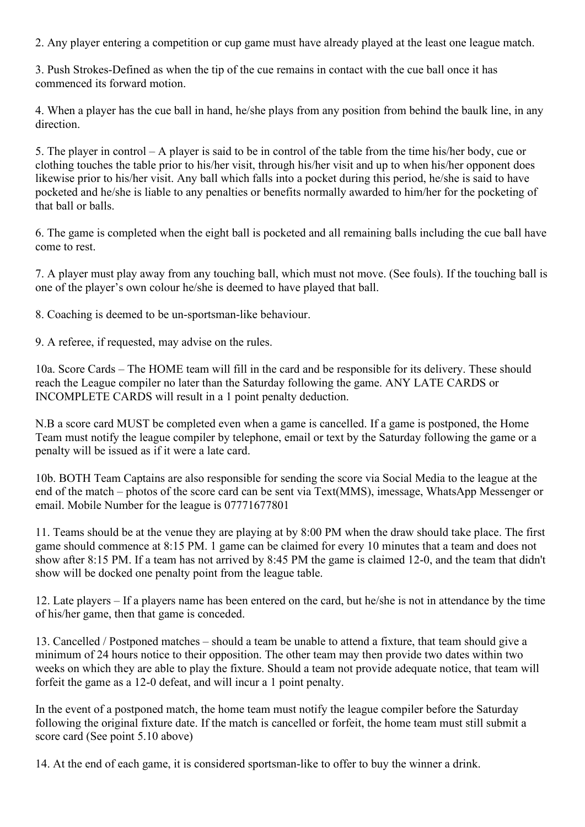2. Any player entering a competition or cup game must have already played at the least one league match.

3. Push Strokes-Defined as when the tip of the cue remains in contact with the cue ball once it has commenced its forward motion.

4. When a player has the cue ball in hand, he/she plays from any position from behind the baulk line, in any direction.

5. The player in control – A player is said to be in control of the table from the time his/her body, cue or clothing touches the table prior to his/her visit, through his/her visit and up to when his/her opponent does likewise prior to his/her visit. Any ball which falls into a pocket during this period, he/she is said to have pocketed and he/she is liable to any penalties or benefits normally awarded to him/her for the pocketing of that ball or balls.

6. The game is completed when the eight ball is pocketed and all remaining balls including the cue ball have come to rest.

7. A player must play away from any touching ball, which must not move. (See fouls). If the touching ball is one of the player's own colour he/she is deemed to have played that ball.

8. Coaching is deemed to be un-sportsman-like behaviour.

9. A referee, if requested, may advise on the rules.

10a. Score Cards – The HOME team will fill in the card and be responsible for its delivery. These should reach the League compiler no later than the Saturday following the game. ANY LATE CARDS or INCOMPLETE CARDS will result in a 1 point penalty deduction.

N.B a score card MUST be completed even when a game is cancelled. If a game is postponed, the Home Team must notify the league compiler by telephone, email or text by the Saturday following the game or a penalty will be issued as if it were a late card.

10b. BOTH Team Captains are also responsible for sending the score via Social Media to the league at the end of the match – photos of the score card can be sent via Text(MMS), imessage, WhatsApp Messenger or email. Mobile Number for the league is 07771677801

11. Teams should be at the venue they are playing at by 8:00 PM when the draw should take place. The first game should commence at 8:15 PM. 1 game can be claimed for every 10 minutes that a team and does not show after 8:15 PM. If a team has not arrived by 8:45 PM the game is claimed 12-0, and the team that didn't show will be docked one penalty point from the league table.

12. Late players – If a players name has been entered on the card, but he/she is not in attendance by the time of his/her game, then that game is conceded.

13. Cancelled / Postponed matches – should a team be unable to attend a fixture, that team should give a minimum of 24 hours notice to their opposition. The other team may then provide two dates within two weeks on which they are able to play the fixture. Should a team not provide adequate notice, that team will forfeit the game as a 12-0 defeat, and will incur a 1 point penalty.

In the event of a postponed match, the home team must notify the league compiler before the Saturday following the original fixture date. If the match is cancelled or forfeit, the home team must still submit a score card (See point 5.10 above)

14. At the end of each game, it is considered sportsman-like to offer to buy the winner a drink.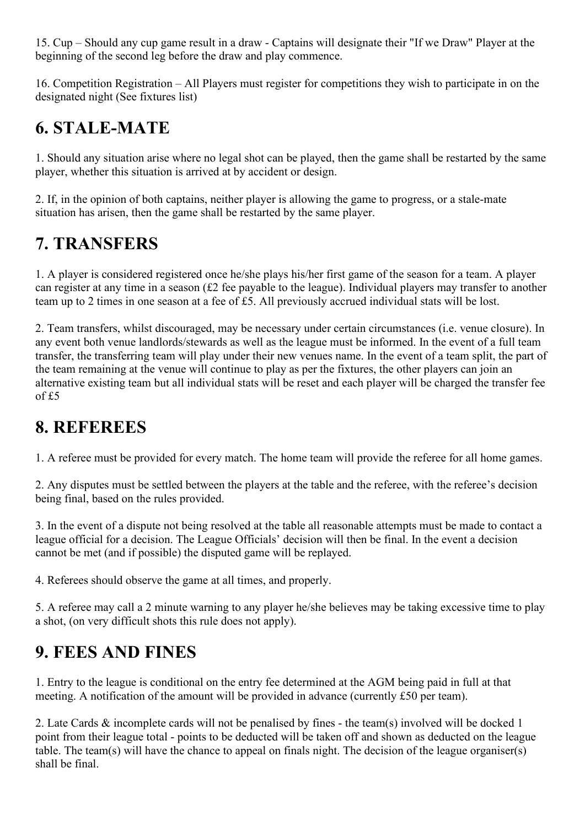15. Cup – Should any cup game result in a draw - Captains will designate their "If we Draw" Player at the beginning of the second leg before the draw and play commence.

16. Competition Registration – All Players must register for competitions they wish to participate in on the designated night (See fixtures list)

#### **6. STALE-MATE**

1. Should any situation arise where no legal shot can be played, then the game shall be restarted by the same player, whether this situation is arrived at by accident or design.

2. If, in the opinion of both captains, neither player is allowing the game to progress, or a stale-mate situation has arisen, then the game shall be restarted by the same player.

#### **7. TRANSFERS**

1. A player is considered registered once he/she plays his/her first game of the season for a team. A player can register at any time in a season (£2 fee payable to the league). Individual players may transfer to another team up to 2 times in one season at a fee of £5. All previously accrued individual stats will be lost.

2. Team transfers, whilst discouraged, may be necessary under certain circumstances (i.e. venue closure). In any event both venue landlords/stewards as well as the league must be informed. In the event of a full team transfer, the transferring team will play under their new venues name. In the event of a team split, the part of the team remaining at the venue will continue to play as per the fixtures, the other players can join an alternative existing team but all individual stats will be reset and each player will be charged the transfer fee of £5

#### **8. REFEREES**

1. A referee must be provided for every match. The home team will provide the referee for all home games.

2. Any disputes must be settled between the players at the table and the referee, with the referee's decision being final, based on the rules provided.

3. In the event of a dispute not being resolved at the table all reasonable attempts must be made to contact a league official for a decision. The League Officials' decision will then be final. In the event a decision cannot be met (and if possible) the disputed game will be replayed.

4. Referees should observe the game at all times, and properly.

5. A referee may call a 2 minute warning to any player he/she believes may be taking excessive time to play a shot, (on very difficult shots this rule does not apply).

# **9. FEES AND FINES**

1. Entry to the league is conditional on the entry fee determined at the AGM being paid in full at that meeting. A notification of the amount will be provided in advance (currently £50 per team).

2. Late Cards & incomplete cards will not be penalised by fines - the team(s) involved will be docked 1 point from their league total - points to be deducted will be taken off and shown as deducted on the league table. The team(s) will have the chance to appeal on finals night. The decision of the league organiser(s) shall be final.